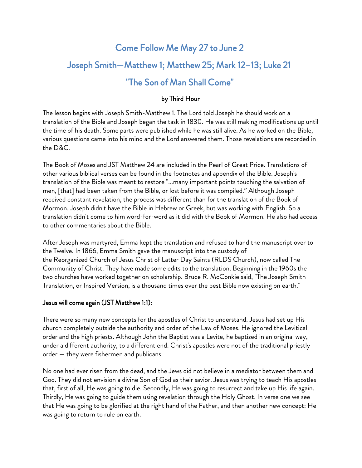## Come Follow Me May 27 to June 2 Joseph Smith—Matthew 1; Matthew 25; Mark 12–13; Luke 21 "The Son of Man Shall Come"

## by Third Hour

The lesson begins with Joseph Smith-Matthew 1. The Lord told Joseph he should work on a translation of the Bible and Joseph began the task in 1830. He was still making modifications up until the time of his death. Some parts were published while he was still alive. As he worked on the Bible, various questions came into his mind and the Lord answered them. Those revelations are recorded in the D&C.

The Book of Moses and JST Matthew 24 are included in the Pearl of Great Price. Translations of other various biblical verses can be found in the footnotes and appendix of the Bible. Joseph's translation of the Bible was meant to restore "...many important points touching the salvation of men, [that] had been taken from the Bible, or lost before it was compiled." Although Joseph received constant revelation, the process was different than for the translation of the Book of Mormon. Joseph didn't have the Bible in Hebrew or Greek, but was working with English. So a translation didn't come to him word-for-word as it did with the Book of Mormon. He also had access to other commentaries about the Bible.

After Joseph was martyred, Emma kept the translation and refused to hand the manuscript over to the Twelve. In 1866, Emma Smith gave the manuscript into the custody of the Reorganized Church of Jesus Christ of Latter Day Saints (RLDS Church), now called The Community of Christ. They have made some edits to the translation. Beginning in the 1960s the two churches have worked together on scholarship. Bruce R. McConkie said, "The Joseph Smith Translation, or Inspired Version, is a thousand times over the best Bible now existing on earth."

#### Jesus will come again (JST Matthew 1:1):

There were so many new concepts for the apostles of Christ to understand. Jesus had set up His church completely outside the authority and order of the Law of Moses. He ignored the Levitical order and the high priests. Although John the Baptist was a Levite, he baptized in an original way, under a different authority, to a different end. Christ's apostles were not of the traditional priestly order — they were fishermen and publicans.

No one had ever risen from the dead, and the Jews did not believe in a mediator between them and God. They did not envision a divine Son of God as their savior. Jesus was trying to teach His apostles that, first of all, He was going to die. Secondly, He was going to resurrect and take up His life again. Thirdly, He was going to guide them using revelation through the Holy Ghost. In verse one we see that He was going to be glorified at the right hand of the Father, and then another new concept: He was going to return to rule on earth.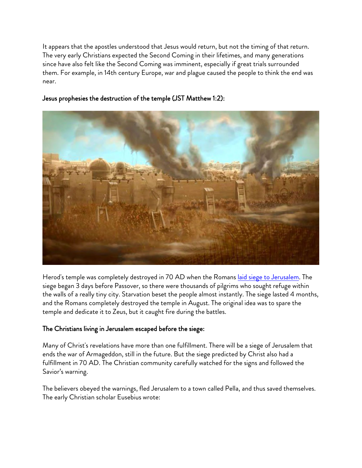It appears that the apostles understood that Jesus would return, but not the timing of that return. The very early Christians expected the Second Coming in their lifetimes, and many generations since have also felt like the Second Coming was imminent, especially if great trials surrounded them. For example, in 14th century Europe, war and plague caused the people to think the end was near.



#### Jesus prophesies the destruction of the temple (JST Matthew 1:2):

Herod's temple was completely destroyed in 70 AD when the Romans la[id siege to Jerusalem. The](https://en.wikipedia.org/wiki/Siege_of_Jerusalem_(70_CE)) siege began 3 days before Passover, so there were thousands of pilgrims who sought refuge within the walls of a really tiny city. Starvation beset the people almost instantly. The siege lasted 4 months, and the Romans completely destroyed the temple in August. The original idea was to spare the temple and dedicate it to Zeus, but it caught fire during the battles.

## The Christians living in Jerusalem escaped before the siege:

Many of Christ's revelations have more than one fulfillment. There will be a siege of Jerusalem that ends the war of Armageddon, still in the future. But the siege predicted by Christ also had a fulfillment in 70 AD. The Christian community carefully watched for the signs and followed the Savior's warning.

The believers obeyed the warnings, fled Jerusalem to a town called Pella, and thus saved themselves. The early Christian scholar Eusebius wrote: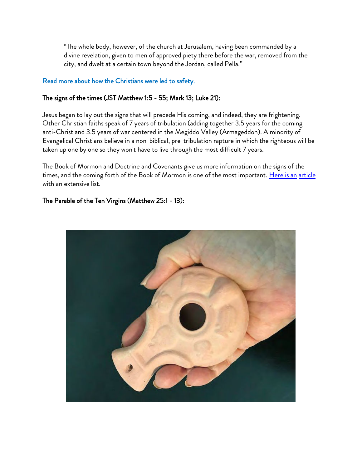"The whole body, however, of the church at Jerusalem, having been commanded by a divine revelation, given to men of approved piety there before the war, removed from the city, and dwelt at a certain town beyond the Jordan, called Pella."

#### [Read more about how the Christians were led to safety.](https://www.lds.org/study/ensign/1989/06/be-ye-also-ready-the-amazing-christian-escape-from-the-a-d-70-destruction-of-jerusalem?lang=eng)

#### The signs of the times (JST Matthew 1:5 - 55; Mark 13; Luke 21):

Jesus began to lay out the signs that will precede His coming, and indeed, they are frightening. Other Christian faiths speak of 7 years of tribulation (adding together 3.5 years for the coming anti-Christ and 3.5 years of war centered in the Megiddo Valley (Armageddon). A minority of Evangelical Christians believe in a non-biblical, pre-tribulation rapture in which the righteous will be taken up one by one so they won't have to live through the most difficult 7 years.

The Book of Mormon and Doctrine and Covenants give us more information on the signs of the times, and the coming forth of the Book of Mormon is one of the most important. He[re is an](https://www.mormonwiki.com/Signs_of_the_Times) article [with an](https://www.mormonwiki.com/Signs_of_the_Times) extensive list.

### The Parable of the Ten Virgins (Matthew 25:1 - 13):

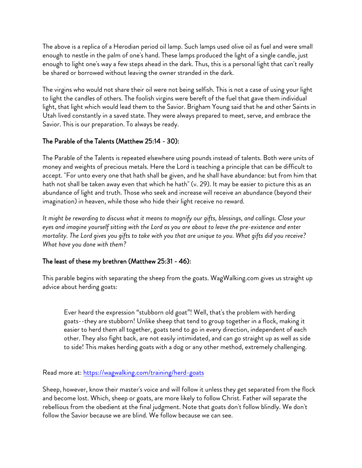The above is a replica of a Herodian period oil lamp. Such lamps used olive oil as fuel and were small enough to nestle in the palm of one's hand. These lamps produced the light of a single candle, just enough to light one's way a few steps ahead in the dark. Thus, this is a personal light that can't really be shared or borrowed without leaving the owner stranded in the dark.

The virgins who would not share their oil were not being selfish. This is not a case of using your light to light the candles of others. The foolish virgins were bereft of the fuel that gave them individual light, that light which would lead them to the Savior. Brigham Young said that he and other Saints in Utah lived constantly in a saved state. They were always prepared to meet, serve, and embrace the Savior. This is our preparation. To always be ready.

## The Parable of the Talents (Matthew 25:14 - 30):

The Parable of the Talents is repeated elsewhere using pounds instead of talents. Both were units of money and weights of precious metals. Here the Lord is teaching a principle that can be difficult to accept. "For unto every one that hath shall be given, and he shall have abundance: but from him that hath not shall be taken away even that which he hath" (v. 29). It may be easier to picture this as an abundance of light and truth. Those who seek and increase will receive an abundance (beyond their imagination) in heaven, while those who hide their light receive no reward.

*It might be rewarding to discuss what it means to magnify our gifts, blessings, and callings. Close your eyes and imagine yourself sitting with the Lord as you are about to leave the pre-existence and enter mortality. The Lord gives you gifts to take with you that are unique to you. What gifts did you receive? What have you done with them?*

## The least of these my brethren (Matthew 25:31 - 46):

This parable begins with separating the sheep from the goats. WagWalking.com gives us straight up advice about herding goats:

Ever heard the expression "stubborn old goat"! Well, that's the problem with herding goats--they are stubborn! Unlike sheep that tend to group together in a flock, making it easier to herd them all together, goats tend to go in every direction, independent of each other. They also fight back, are not easily intimidated, and can go straight up as well as side to side! This makes herding goats with a dog or any other method, extremely challenging.

Read more at:<https://wagwalking.com/training/herd-goats>

Sheep, however, know their master's voice and will follow it unless they get separated from the flock and become lost. Which, sheep or goats, are more likely to follow Christ. Father will separate the rebellious from the obedient at the final judgment. Note that goats don't follow blindly. We don't follow the Savior because we are blind. We follow because we can see.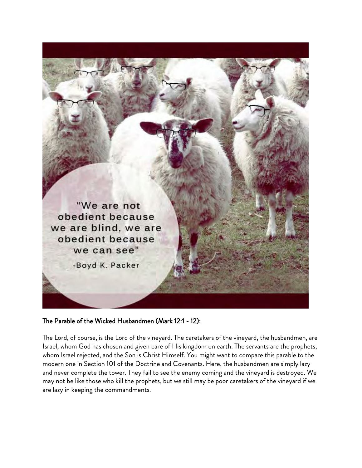

#### The Parable of the Wicked Husbandmen (Mark 12:1 - 12):

The Lord, of course, is the Lord of the vineyard. The caretakers of the vineyard, the husbandmen, are Israel, whom God has chosen and given care of His kingdom on earth. The servants are the prophets, whom Israel rejected, and the Son is Christ Himself. You might want to compare this parable to the modern one in Section 101 of the Doctrine and Covenants. Here, the husbandmen are simply lazy and never complete the tower. They fail to see the enemy coming and the vineyard is destroyed. We may not be like those who kill the prophets, but we still may be poor caretakers of the vineyard if we are lazy in keeping the commandments.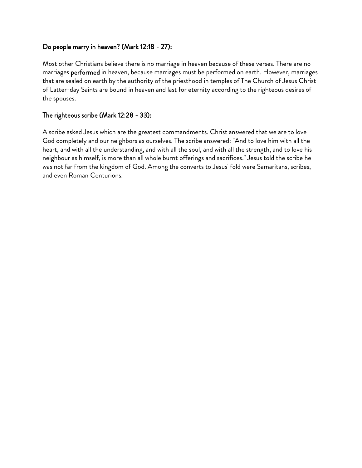### Do people marry in heaven? (Mark 12:18 - 27):

Most other Christians believe there is no marriage in heaven because of these verses. There are no marriages performed in heaven, because marriages must be performed on earth. However, marriages that are sealed on earth by the authority of the priesthood in temples of The Church of Jesus Christ of Latter-day Saints are bound in heaven and last for eternity according to the righteous desires of the spouses.

### The righteous scribe (Mark 12:28 - 33):

A scribe asked Jesus which are the greatest commandments. Christ answered that we are to love God completely and our neighbors as ourselves. The scribe answered: "And to love him with all the heart, and with all the understanding, and with all the soul, and with all the strength, and to love his neighbour as himself, is more than all whole burnt offerings and sacrifices." Jesus told the scribe he was not far from the kingdom of God. Among the converts to Jesus' fold were Samaritans, scribes, and even Roman Centurions.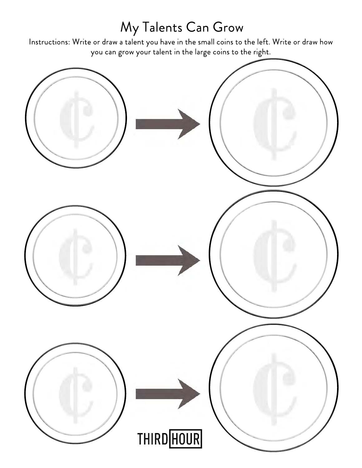# My Talents Can Grow

Instructions: Write or draw a talent you have in the small coins to the left. Write or draw how you can grow your talent in the large coins to the right.